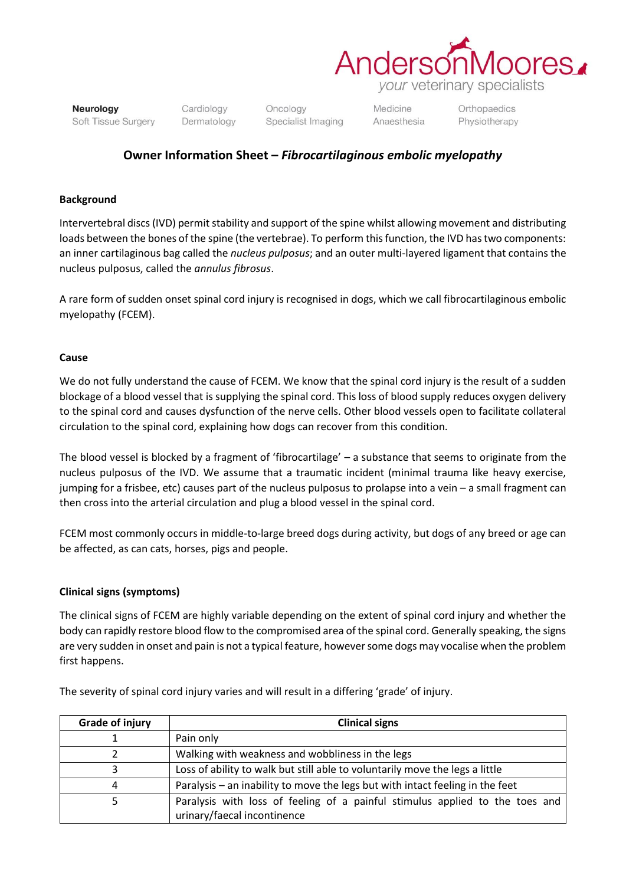

Neurology Soft Tissue Surgery Cardiology Dermatology Oncology Specialist Imaging

Medicine Anaesthesia Orthopaedics Physiotherapy

# **Owner Information Sheet –** *Fibrocartilaginous embolic myelopathy*

### **Background**

Intervertebral discs (IVD) permit stability and support of the spine whilst allowing movement and distributing loads between the bones of the spine (the vertebrae). To perform this function, the IVD has two components: an inner cartilaginous bag called the *nucleus pulposus*; and an outer multi-layered ligament that contains the nucleus pulposus, called the *annulus fibrosus*.

A rare form of sudden onset spinal cord injury is recognised in dogs, which we call fibrocartilaginous embolic myelopathy (FCEM).

# **Cause**

We do not fully understand the cause of FCEM. We know that the spinal cord injury is the result of a sudden blockage of a blood vessel that is supplying the spinal cord. This loss of blood supply reduces oxygen delivery to the spinal cord and causes dysfunction of the nerve cells. Other blood vessels open to facilitate collateral circulation to the spinal cord, explaining how dogs can recover from this condition.

The blood vessel is blocked by a fragment of 'fibrocartilage' – a substance that seems to originate from the nucleus pulposus of the IVD. We assume that a traumatic incident (minimal trauma like heavy exercise, jumping for a frisbee, etc) causes part of the nucleus pulposus to prolapse into a vein – a small fragment can then cross into the arterial circulation and plug a blood vessel in the spinal cord.

FCEM most commonly occurs in middle-to-large breed dogs during activity, but dogs of any breed or age can be affected, as can cats, horses, pigs and people.

# **Clinical signs (symptoms)**

The clinical signs of FCEM are highly variable depending on the extent of spinal cord injury and whether the body can rapidly restore blood flow to the compromised area of the spinal cord. Generally speaking, the signs are very sudden in onset and pain is not a typical feature, however some dogs may vocalise when the problem first happens.

| <b>Grade of injury</b> | <b>Clinical signs</b>                                                                                       |
|------------------------|-------------------------------------------------------------------------------------------------------------|
|                        | Pain only                                                                                                   |
|                        | Walking with weakness and wobbliness in the legs                                                            |
|                        | Loss of ability to walk but still able to voluntarily move the legs a little                                |
| 4                      | Paralysis – an inability to move the legs but with intact feeling in the feet                               |
|                        | Paralysis with loss of feeling of a painful stimulus applied to the toes and<br>urinary/faecal incontinence |

The severity of spinal cord injury varies and will result in a differing 'grade' of injury.